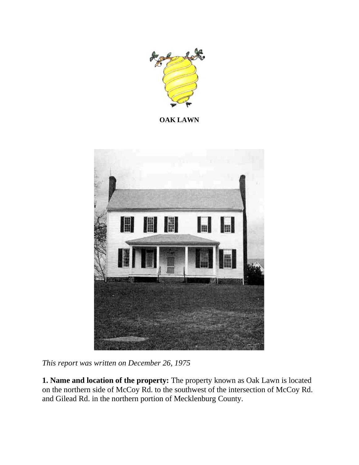

**OAK LAWN**



*This report was written on December 26, 1975*

**1. Name and location of the property:** The property known as Oak Lawn is located on the northern side of McCoy Rd. to the southwest of the intersection of McCoy Rd. and Gilead Rd. in the northern portion of Mecklenburg County.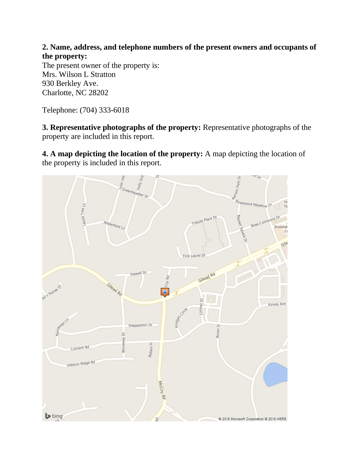**2. Name, address, and telephone numbers of the present owners and occupants of the property:**

The present owner of the property is: Mrs. Wilson L Stratton 930 Berkley Ave. Charlotte, NC 28202

Telephone: (704) 333-6018

**3. Representative photographs of the property:** Representative photographs of the property are included in this report.

**4. A map depicting the location of the property:** A map depicting the location of the property is included in this report.

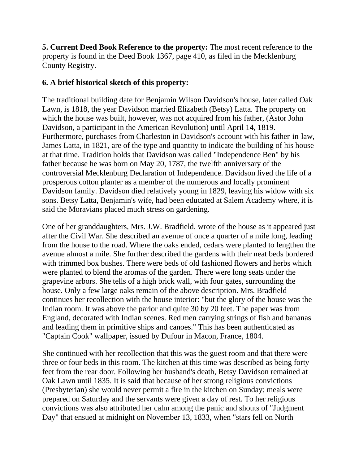**5. Current Deed Book Reference to the property:** The most recent reference to the property is found in the Deed Book 1367, page 410, as filed in the Mecklenburg County Registry.

## **6. A brief historical sketch of this property:**

The traditional building date for Benjamin Wilson Davidson's house, later called Oak Lawn, is 1818, the year Davidson married Elizabeth (Betsy) Latta. The property on which the house was built, however, was not acquired from his father, (Astor John Davidson, a participant in the American Revolution) until April 14, 1819. Furthermore, purchases from Charleston in Davidson's account with his father-in-law, James Latta, in 1821, are of the type and quantity to indicate the building of his house at that time. Tradition holds that Davidson was called "Independence Ben" by his father because he was born on May 20, 1787, the twelfth anniversary of the controversial Mecklenburg Declaration of Independence. Davidson lived the life of a prosperous cotton planter as a member of the numerous and locally prominent Davidson family. Davidson died relatively young in 1829, leaving his widow with six sons. Betsy Latta, Benjamin's wife, had been educated at Salem Academy where, it is said the Moravians placed much stress on gardening.

One of her granddaughters, Mrs. J.W. Bradfield, wrote of the house as it appeared just after the Civil War. She described an avenue of once a quarter of a mile long, leading from the house to the road. Where the oaks ended, cedars were planted to lengthen the avenue almost a mile. She further described the gardens with their neat beds bordered with trimmed box bushes. There were beds of old fashioned flowers and herbs which were planted to blend the aromas of the garden. There were long seats under the grapevine arbors. She tells of a high brick wall, with four gates, surrounding the house. Only a few large oaks remain of the above description. Mrs. Bradfield continues her recollection with the house interior: "but the glory of the house was the Indian room. It was above the parlor and quite 30 by 20 feet. The paper was from England, decorated with Indian scenes. Red men carrying strings of fish and bananas and leading them in primitive ships and canoes." This has been authenticated as "Captain Cook" wallpaper, issued by Dufour in Macon, France, 1804.

She continued with her recollection that this was the guest room and that there were three or four beds in this room. The kitchen at this time was described as being forty feet from the rear door. Following her husband's death, Betsy Davidson remained at Oak Lawn until 1835. It is said that because of her strong religious convictions (Presbyterian) she would never permit a fire in the kitchen on Sunday; meals were prepared on Saturday and the servants were given a day of rest. To her religious convictions was also attributed her calm among the panic and shouts of "Judgment Day" that ensued at midnight on November 13, 1833, when "stars fell on North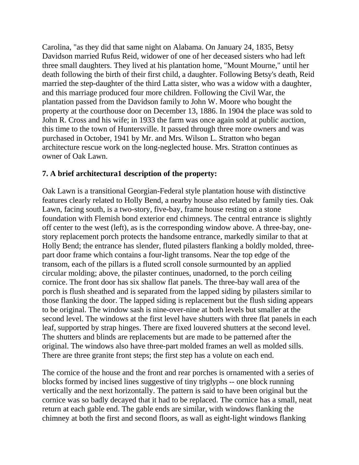Carolina, "as they did that same night on Alabama. On January 24, 1835, Betsy Davidson married Rufus Reid, widower of one of her deceased sisters who had left three small daughters. They lived at his plantation home, "Mount Mourne," until her death following the birth of their first child, a daughter. Following Betsy's death, Reid married the step-daughter of the third Latta sister, who was a widow with a daughter, and this marriage produced four more children. Following the Civil War, the plantation passed from the Davidson family to John W. Moore who bought the property at the courthouse door on December 13, 1886. In 1904 the place was sold to John R. Cross and his wife; in 1933 the farm was once again sold at public auction, this time to the town of Huntersville. It passed through three more owners and was purchased in October, 1941 by Mr. and Mrs. Wilson L. Stratton who began architecture rescue work on the long-neglected house. Mrs. Stratton continues as owner of Oak Lawn.

## **7. A brief architectura1 description of the property:**

Oak Lawn is a transitional Georgian-Federal style plantation house with distinctive features clearly related to Holly Bend, a nearby house also related by family ties. Oak Lawn, facing south, is a two-story, five-bay, frame house resting on a stone foundation with Flemish bond exterior end chimneys. The central entrance is slightly off center to the west (left), as is the corresponding window above. A three-bay, onestory replacement porch protects the handsome entrance, markedly similar to that at Holly Bend; the entrance has slender, fluted pilasters flanking a boldly molded, threepart door frame which contains a four-light transoms. Near the top edge of the transom, each of the pillars is a fluted scroll console surmounted by an applied circular molding; above, the pilaster continues, unadorned, to the porch ceiling cornice. The front door has six shallow flat panels. The three-bay wall area of the porch is flush sheathed and is separated from the lapped siding by pilasters similar to those flanking the door. The lapped siding is replacement but the flush siding appears to be original. The window sash is nine-over-nine at both levels but smaller at the second level. The windows at the first level have shutters with three flat panels in each leaf, supported by strap hinges. There are fixed louvered shutters at the second level. The shutters and blinds are replacements but are made to be patterned after the original. The windows also have three-part molded frames an well as molded sills. There are three granite front steps; the first step has a volute on each end.

The cornice of the house and the front and rear porches is ornamented with a series of blocks formed by incised lines suggestive of tiny triglyphs -- one block running vertically and the next horizontally. The pattern is said to have been original but the cornice was so badly decayed that it had to be replaced. The cornice has a small, neat return at each gable end. The gable ends are similar, with windows flanking the chimney at both the first and second floors, as wall as eight-light windows flanking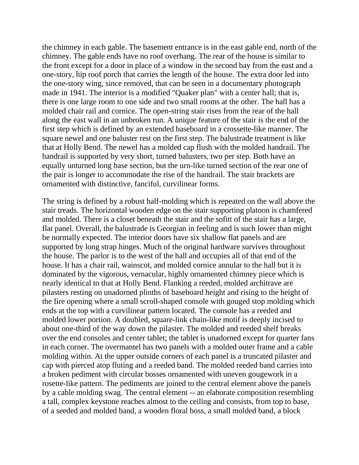the chimney in each gable. The basement entrance is in the east gable end, north of the chimney. The gable ends have no roof overhang. The rear of the house is similar to the front except for a door in place of a window in the second bay from the east and a one-story, hip roof porch that carries the length of the house. The extra door led into the one-story wing, since removed, that can be seen in a documentary photograph made in 1941. The interior is a modified "Quaker plan" with a center hall; that is, there is one large room to one side and two small rooms at the other. The hall has a molded chair rail and cornice. The open-string stair rises from the rear of the hall along the east wall in an unbroken run. A unique feature of the stair is the end of the first step which is defined by an extended baseboard in a crossette-like manner. The square newel and one baluster rest on the first step. The balustrade treatment is like that at Holly Bend. The newel has a molded cap flush with the molded handrail. The handrail is supported by very short, turned balusters, two per step. Both have an equally unturned long base section, but the urn-like turned section of the rear one of the pair is longer to accommodate the rise of the handrail. The stair brackets are ornamented with distinctive, fanciful, curvilinear forms.

The string is defined by a robust half-molding which is repeated on the wall above the stair treads. The horizontal wooden edge on the stair supporting platoon is chamfered and molded. There is a closet beneath the stair and the sofitt of the stair has a large, flat panel. Overall, the balustrade is Georgian in feeling and is such lower than might be normally expected. The interior doors have six shallow flat panels and are supported by long strap hinges. Much of the original hardware survives throughout the house. The parlor is to the west of the hall and occupies all of that end of the house. It has a chair rail, wainscot, and molded cornice annular to the hall but it is dominated by the vigorous, vernacular, highly ornamented chimney piece which is nearly identical to that at Holly Bend. Flanking a reeded, molded architrave are pilasters resting on unadorned plinths of baseboard height and rising to the height of the fire opening where a small scroll-shaped console with gouged stop molding which ends at the top with a curvilinear pattern located. The console has a reeded and molded lower portion. A doubled, square-link chain-like motif is deeply incised to about one-third of the way down the pilaster. The molded and reeded shelf breaks over the end consoles and center tablet; the tablet is unadorned except for quarter fans in each corner. The overmantel has two panels with a molded outer frame and a cable molding within. At the upper outside corners of each panel is a truncated pilaster and cap with pierced atop fluting and a reeded band. The molded reeded band carries into a broken pediment with circular bosses ornamented with uneven gougework in a rosette-like pattern. The pediments are joined to the central element above the panels by a cable molding swag. The central element -- an elaborate composition resembling a tall, complex keystone reaches almost to the ceiling and consists, from top to base, of a seeded and molded band, a wooden floral boss, a small molded band, a block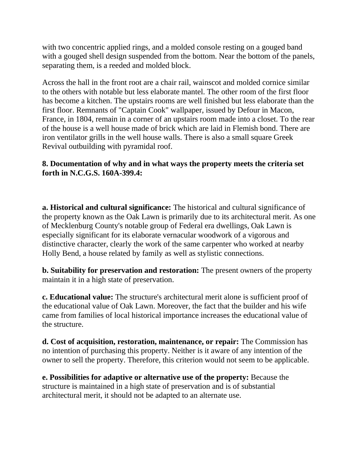with two concentric applied rings, and a molded console resting on a gouged band with a gouged shell design suspended from the bottom. Near the bottom of the panels, separating them, is a reeded and molded block.

Across the hall in the front root are a chair rail, wainscot and molded cornice similar to the others with notable but less elaborate mantel. The other room of the first floor has become a kitchen. The upstairs rooms are well finished but less elaborate than the first floor. Remnants of "Captain Cook" wallpaper, issued by Defour in Macon, France, in 1804, remain in a corner of an upstairs room made into a closet. To the rear of the house is a well house made of brick which are laid in Flemish bond. There are iron ventilator grills in the well house walls. There is also a small square Greek Revival outbuilding with pyramidal roof.

## **8. Documentation of why and in what ways the property meets the criteria set forth in N.C.G.S. 160A-399.4:**

**a. Historical and cultural significance:** The historical and cultural significance of the property known as the Oak Lawn is primarily due to its architectural merit. As one of Mecklenburg County's notable group of Federal era dwellings, Oak Lawn is especially significant for its elaborate vernacular woodwork of a vigorous and distinctive character, clearly the work of the same carpenter who worked at nearby Holly Bend, a house related by family as well as stylistic connections.

**b. Suitability for preservation and restoration:** The present owners of the property maintain it in a high state of preservation.

**c. Educational value:** The structure's architectural merit alone is sufficient proof of the educational value of Oak Lawn. Moreover, the fact that the builder and his wife came from families of local historical importance increases the educational value of the structure.

**d. Cost of acquisition, restoration, maintenance, or repair:** The Commission has no intention of purchasing this property. Neither is it aware of any intention of the owner to sell the property. Therefore, this criterion would not seem to be applicable.

**e. Possibilities for adaptive or alternative use of the property:** Because the structure is maintained in a high state of preservation and is of substantial architectural merit, it should not be adapted to an alternate use.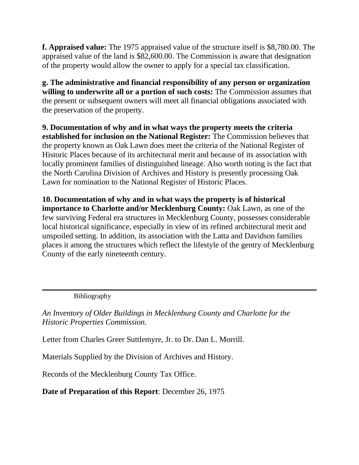**f. Appraised value:** The 1975 appraised value of the structure itself is \$8,780.00. The appraised value of the land is \$82,600.00. The Commission is aware that designation of the property would allow the owner to apply for a special tax classification.

**g. The administrative and financial responsibility of any person or organization willing to underwrite all or a portion of such costs:** The Commission assumes that the present or subsequent owners will meet all financial obligations associated with the preservation of the property.

**9. Documentation of why and in what ways the property meets the criteria established for inclusion on the National Register:** The Commission believes that the property known as Oak Lawn does meet the criteria of the National Register of Historic Places because of its architectural merit and because of its association with locally prominent families of distinguished lineage. Also worth noting is the fact that the North Carolina Division of Archives and History is presently processing Oak Lawn for nomination to the National Register of Historic Places.

**10. Documentation of why and in what ways the property is of historical importance to Charlotte and/or Mecklenburg County:** Oak Lawn, as one of the few surviving Federal era structures in Mecklenburg County, possesses considerable local historical significance, especially in view of its refined architectural merit and unspoiled setting. In addition, its association with the Latta and Davidson families places it among the structures which reflect the lifestyle of the gentry of Mecklenburg County of the early nineteenth century.

Bibliography

*An Inventory of Older Buildings in Mecklenburg County and Charlotte for the Historic Properties Commission*.

Letter from Charles Greer Suttlemyre, Jr. to Dr. Dan L. Morrill.

Materials Supplied by the Division of Archives and History.

Records of the Mecklenburg County Tax Office.

**Date of Preparation of this Report**: December 26, 1975